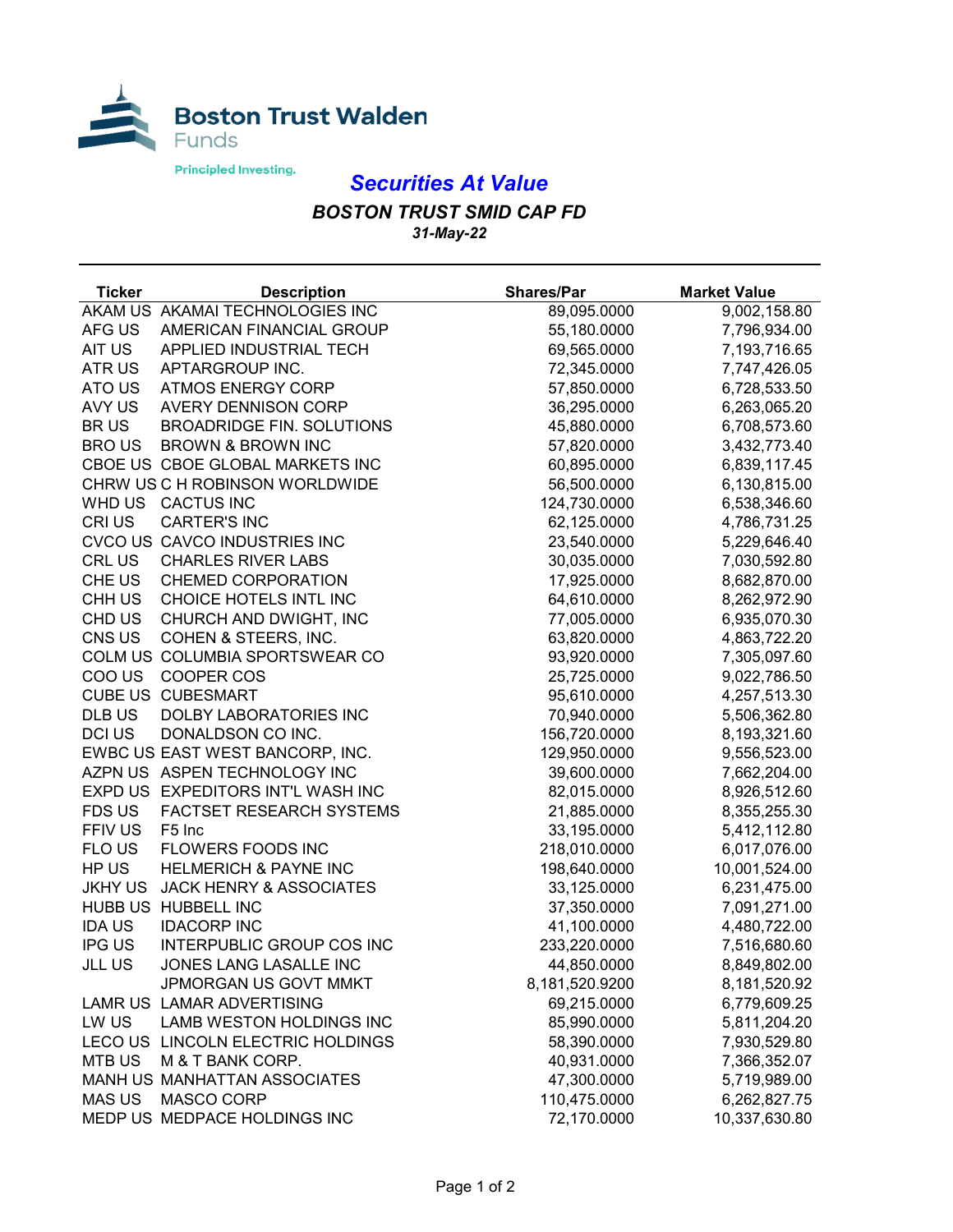

## *Securities At Value*

## *BOSTON TRUST SMID CAP FD 31-May-22*

| <b>Ticker</b>  | <b>Description</b>                | <b>Shares/Par</b> | <b>Market Value</b> |
|----------------|-----------------------------------|-------------------|---------------------|
|                | AKAM US AKAMAI TECHNOLOGIES INC   | 89,095.0000       | 9,002,158.80        |
| AFG US         | AMERICAN FINANCIAL GROUP          | 55,180.0000       | 7,796,934.00        |
| AIT US         | APPLIED INDUSTRIAL TECH           | 69,565.0000       | 7,193,716.65        |
| ATR US         | APTARGROUP INC.                   | 72,345.0000       | 7,747,426.05        |
| ATO US         | <b>ATMOS ENERGY CORP</b>          | 57,850.0000       | 6,728,533.50        |
| AVY US         | <b>AVERY DENNISON CORP</b>        | 36,295.0000       | 6,263,065.20        |
| <b>BRUS</b>    | <b>BROADRIDGE FIN. SOLUTIONS</b>  | 45,880.0000       | 6,708,573.60        |
| <b>BRO US</b>  | <b>BROWN &amp; BROWN INC</b>      | 57,820.0000       | 3,432,773.40        |
|                | CBOE US CBOE GLOBAL MARKETS INC   | 60,895.0000       | 6,839,117.45        |
|                | CHRW US C H ROBINSON WORLDWIDE    | 56,500.0000       | 6,130,815.00        |
|                | WHD US CACTUS INC                 | 124,730.0000      | 6,538,346.60        |
| CRI US         | <b>CARTER'S INC</b>               | 62,125.0000       | 4,786,731.25        |
|                | CVCO US CAVCO INDUSTRIES INC      | 23,540.0000       | 5,229,646.40        |
| <b>CRL US</b>  | <b>CHARLES RIVER LABS</b>         | 30,035.0000       | 7,030,592.80        |
| CHE US         | <b>CHEMED CORPORATION</b>         | 17,925.0000       | 8,682,870.00        |
| CHH US         | CHOICE HOTELS INTL INC            | 64,610.0000       | 8,262,972.90        |
| CHD US         | CHURCH AND DWIGHT, INC            | 77,005.0000       | 6,935,070.30        |
| CNS US         | COHEN & STEERS, INC.              | 63,820.0000       | 4,863,722.20        |
|                | COLM US COLUMBIA SPORTSWEAR CO    | 93,920.0000       | 7,305,097.60        |
| COO US         | COOPER COS                        | 25,725.0000       | 9,022,786.50        |
|                | <b>CUBE US CUBESMART</b>          | 95,610.0000       | 4,257,513.30        |
| DLB US         | DOLBY LABORATORIES INC            | 70,940.0000       | 5,506,362.80        |
| <b>DCI US</b>  | DONALDSON CO INC.                 | 156,720.0000      | 8,193,321.60        |
|                | EWBC US EAST WEST BANCORP, INC.   | 129,950.0000      | 9,556,523.00        |
|                | AZPN US ASPEN TECHNOLOGY INC      | 39,600.0000       | 7,662,204.00        |
|                | EXPD US EXPEDITORS INT'L WASH INC | 82,015.0000       | 8,926,512.60        |
| FDS US         | FACTSET RESEARCH SYSTEMS          | 21,885.0000       | 8,355,255.30        |
| FFIV US        | F5 Inc                            | 33,195.0000       | 5,412,112.80        |
| FLO US         | FLOWERS FOODS INC                 | 218,010.0000      | 6,017,076.00        |
| HP US          | <b>HELMERICH &amp; PAYNE INC</b>  | 198,640.0000      | 10,001,524.00       |
| <b>JKHY US</b> | JACK HENRY & ASSOCIATES           | 33,125.0000       | 6,231,475.00        |
|                | HUBB US HUBBELL INC               | 37,350.0000       | 7,091,271.00        |
| <b>IDAUS</b>   | <b>IDACORP INC</b>                | 41,100.0000       | 4,480,722.00        |
| <b>IPG US</b>  | INTERPUBLIC GROUP COS INC         | 233,220.0000      | 7,516,680.60        |
| <b>JLL US</b>  | JONES LANG LASALLE INC            | 44,850.0000       | 8,849,802.00        |
|                | JPMORGAN US GOVT MMKT             | 8,181,520.9200    | 8,181,520.92        |
|                | LAMR US LAMAR ADVERTISING         | 69,215.0000       | 6,779,609.25        |
| LW US          | LAMB WESTON HOLDINGS INC          | 85,990.0000       | 5,811,204.20        |
|                | LECO US LINCOLN ELECTRIC HOLDINGS | 58,390.0000       | 7,930,529.80        |
| <b>MTB US</b>  | M & T BANK CORP.                  | 40,931.0000       | 7,366,352.07        |
|                | MANH US MANHATTAN ASSOCIATES      | 47,300.0000       | 5,719,989.00        |
| <b>MAS US</b>  | <b>MASCO CORP</b>                 | 110,475.0000      | 6,262,827.75        |
|                | MEDP US MEDPACE HOLDINGS INC      | 72,170.0000       | 10,337,630.80       |